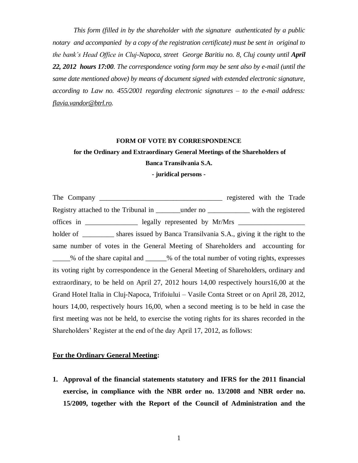*This form (filled in by the shareholder with the signature authenticated by a public notary and accompanied by a copy of the registration certificate) must be sent in original to the bank's Head Office in Cluj-Napoca, street George Baritiu no. 8, Cluj county until April 22, 2012 hours 17:00. The correspondence voting form may be sent also by e-mail (until the same date mentioned above) by means of document signed with extended electronic signature, according to Law no. 455/2001 regarding electronic signatures – to the e-mail address: [flavia.vandor@btrl.ro.](mailto:flavia.vandor@btrl.ro)*

#### **FORM OF VOTE BY CORRESPONDENCE**

## **for the Ordinary and Extraordinary General Meetings of the Shareholders of Banca Transilvania S.A.**

**- juridical persons -**

The Company \_\_\_\_\_\_\_\_\_\_\_\_\_\_\_\_\_\_\_\_\_\_\_\_\_\_\_\_\_\_\_\_\_\_\_ registered with the Trade Registry attached to the Tribunal in \_\_\_\_\_\_\_under no \_\_\_\_\_\_\_\_\_\_\_\_ with the registered offices in \_\_\_\_\_\_\_\_\_\_\_\_\_\_\_\_\_\_\_\_\_ legally represented by Mr/Mrs \_\_\_\_\_\_\_\_\_\_\_\_\_\_\_\_\_ holder of \_\_\_\_\_\_\_\_\_\_ shares issued by Banca Transilvania S.A., giving it the right to the same number of votes in the General Meeting of Shareholders and accounting for \_\_\_\_\_% of the share capital and \_\_\_\_\_\_% of the total number of voting rights, expresses its voting right by correspondence in the General Meeting of Shareholders, ordinary and extraordinary, to be held on April 27, 2012 hours 14,00 respectively hours16,00 at the Grand Hotel Italia in Cluj-Napoca, Trifoiului – Vasile Conta Street or on April 28, 2012, hours 14,00, respectively hours 16,00, when a second meeting is to be held in case the first meeting was not be held, to exercise the voting rights for its shares recorded in the Shareholders' Register at the end of the day April 17, 2012, as follows:

### **For the Ordinary General Meeting:**

**1. Approval of the financial statements statutory and IFRS for the 2011 financial exercise, in compliance with the NBR order no. 13/2008 and NBR order no. 15/2009, together with the Report of the Council of Administration and the**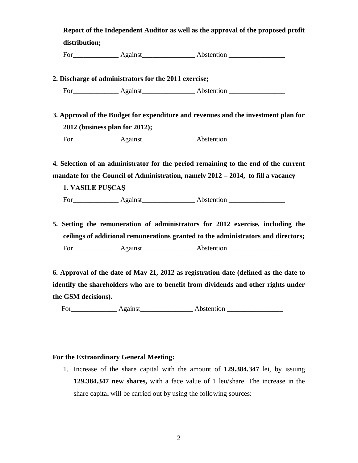**Report of the Independent Auditor as well as the approval of the proposed profit distribution;** 

For\_\_\_\_\_\_\_\_\_\_\_\_\_ Against\_\_\_\_\_\_\_\_\_\_\_\_\_\_\_ Abstention \_\_\_\_\_\_\_\_\_\_\_\_\_\_\_\_

**2. Discharge of administrators for the 2011 exercise;** 

For Against Abstention **Abstention** 

**3. Approval of the Budget for expenditure and revenues and the investment plan for 2012 (business plan for 2012);** 

For Against Abstention **Abstention** 

**4. Selection of an administrator for the period remaining to the end of the current mandate for the Council of Administration, namely 2012 – 2014, to fill a vacancy**

**1. VASILE PUŞCAŞ**

For Against Abstention

**5. Setting the remuneration of administrators for 2012 exercise, including the ceilings of additional remunerations granted to the administrators and directors;**  For Against Abstention **Abstention** 

**6. Approval of the date of May 21, 2012 as registration date (defined as the date to identify the shareholders who are to benefit from dividends and other rights under the GSM decisions).** 

For\_\_\_\_\_\_\_\_\_\_\_\_\_ Against\_\_\_\_\_\_\_\_\_\_\_\_\_\_\_ Abstention \_\_\_\_\_\_\_\_\_\_\_\_\_\_\_\_

### **For the Extraordinary General Meeting:**

1. Increase of the share capital with the amount of **129.384.347** lei, by issuing **129.384.347 new shares,** with a face value of 1 leu/share. The increase in the share capital will be carried out by using the following sources: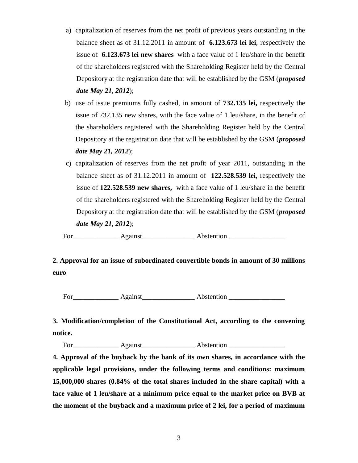- a) capitalization of reserves from the net profit of previous years outstanding in the balance sheet as of 31.12.2011 in amount of **6.123.673 lei lei**, respectively the issue of **6.123.673 lei new shares** with a face value of 1 leu/share in the benefit of the shareholders registered with the Shareholding Register held by the Central Depository at the registration date that will be established by the GSM (*proposed date May 21, 2012*);
- b) use of issue premiums fully cashed, in amount of **732.135 lei,** respectively the issue of 732.135 new shares, with the face value of 1 leu/share, in the benefit of the shareholders registered with the Shareholding Register held by the Central Depository at the registration date that will be established by the GSM (*proposed date May 21, 2012*);
- c) capitalization of reserves from the net profit of year 2011, outstanding in the balance sheet as of 31.12.2011 in amount of **122.528.539 lei**, respectively the issue of **122.528.539 new shares,** with a face value of 1 leu/share in the benefit of the shareholders registered with the Shareholding Register held by the Central Depository at the registration date that will be established by the GSM (*proposed date May 21, 2012*);

For\_\_\_\_\_\_\_\_\_\_\_\_\_ Against\_\_\_\_\_\_\_\_\_\_\_\_\_\_\_ Abstention \_\_\_\_\_\_\_\_\_\_\_\_\_\_\_\_

# **2. Approval for an issue of subordinated convertible bonds in amount of 30 millions euro**

For Against Abstention

**3. Modification/completion of the Constitutional Act, according to the convening notice.**

For Against Abstention

**4. Approval of the buyback by the bank of its own shares, in accordance with the applicable legal provisions, under the following terms and conditions: maximum 15,000,000 shares (0.84% of the total shares included in the share capital) with a face value of 1 leu/share at a minimum price equal to the market price on BVB at the moment of the buyback and a maximum price of 2 lei, for a period of maximum**